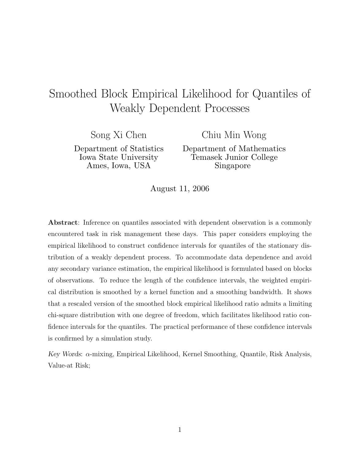# Smoothed Block Empirical Likelihood for Quantiles of Weakly Dependent Processes

Song Xi Chen

Department of Statistics  $\Delta$ mes. Iowa. USA Ames, Iowa, USA

Chiu Min Wong

Department of Mathematics  $\frac{1}{\text{Singa} \cdot \text{Singb}}$  $S_{\text{L}}$ 

 $\overline{\phantom{a}}$ 

**Abstract**: Inference on quantiles associated with dependent observation is a commonly encountered task in risk management these days. This paper considers employing the empirical likelihood to construct confidence intervals for quantiles of the stationary distribution of a weakly dependent process. To accommodate data dependence and avoid any secondary variance estimation, the empirical likelihood is formulated based on blocks of observations. To reduce the length of the confidence intervals, the weighted empirical distribution is smoothed by a kernel function and a smoothing bandwidth. It shows that a rescaled version of the smoothed block empirical likelihood ratio admits a limiting chi-square distribution with one degree of freedom, which facilitates likelihood ratio confidence intervals for the quantiles. The practical performance of these confidence intervals is confirmed by a simulation study.

*Key Words*: α-mixing, Empirical Likelihood, Kernel Smoothing, Quantile, Risk Analysis, Value-at Risk;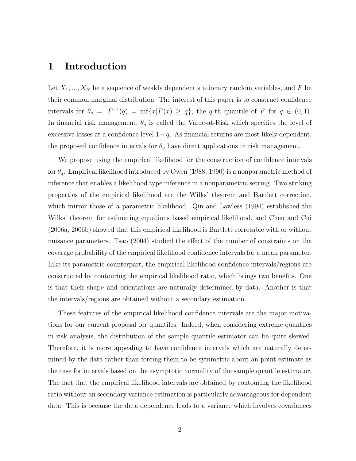# **1 Introduction**

Let  $X_1, ..., X_N$  be a sequence of weakly dependent stationary random variables, and F be their common marginal distribution. The interest of this paper is to construct confidence intervals for  $\theta_q =: F^{-1}(q) = \inf\{x | F(x) \ge q\}$ , the q-th quantile of F for  $q \in (0,1)$ . In financial risk management,  $\theta_q$  is called the Value-at-Risk which specifies the level of excessive losses at a confidence level  $1-q$ . As financial returns are most likely dependent, the proposed confidence intervals for  $\theta_q$  have direct applications in risk management.

We propose using the empirical likelihood for the construction of confidence intervals for  $\theta_q$ . Empirical likelihood introduced by Owen (1988, 1990) is a nonparametric method of inference that enables a likelihood type inference in a nonparametric setting. Two striking properties of the empirical likelihood are the Wilks' theorem and Bartlett correction, which mirror those of a parametric likelihood. Qin and Lawless (1994) established the Wilks' theorem for estimating equations based empirical likelihood, and Chen and Cui (2006a, 2006b) showed that this empirical likelihood is Bartlett corretable with or without nuisance parameters. Tsao (2004) studied the effect of the number of constraints on the coverage probability of the empirical likelihood confidence intervals for a mean parameter. Like its parametric counterpart, the empirical likelihood confidence intervals/regions are constructed by contouring the empirical likelihood ratio, which brings two benefits. One is that their shape and orientations are naturally determined by data. Another is that the intervals/regions are obtained without a secondary estimation.

These features of the empirical likelihood confidence intervals are the major motivations for our current proposal for quantiles. Indeed, when considering extreme quantiles in risk analysis, the distribution of the sample quantile estimator can be quite skewed. Therefore, it is more appealing to have confidence intervals which are naturally determined by the data rather than forcing them to be symmetric about an point estimate as the case for intervals based on the asymptotic normality of the sample quantile estimator. The fact that the empirical likelihood intervals are obtained by contouring the likelihood ratio without an secondary variance estimation is particularly advantageous for dependent data. This is because the data dependence leads to a variance which involves covariances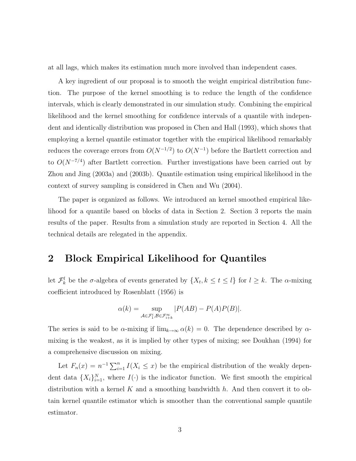at all lags, which makes its estimation much more involved than independent cases.

A key ingredient of our proposal is to smooth the weight empirical distribution function. The purpose of the kernel smoothing is to reduce the length of the confidence intervals, which is clearly demonstrated in our simulation study. Combining the empirical likelihood and the kernel smoothing for confidence intervals of a quantile with independent and identically distribution was proposed in Chen and Hall (1993), which shows that employing a kernel quantile estimator together with the empirical likelihood remarkably reduces the coverage errors from  $O(N^{-1/2})$  to  $O(N^{-1})$  before the Bartlett correction and to  $O(N^{-7/4})$  after Bartlett correction. Further investigations have been carried out by Zhou and Jing (2003a) and (2003b). Quantile estimation using empirical likelihood in the context of survey sampling is considered in Chen and Wu (2004).

The paper is organized as follows. We introduced an kernel smoothed empirical likelihood for a quantile based on blocks of data in Section 2. Section 3 reports the main results of the paper. Results from a simulation study are reported in Section 4. All the technical details are relegated in the appendix.

## **2 Block Empirical Likelihood for Quantiles**

let  $\mathcal{F}_k^l$  be the  $\sigma$ -algebra of events generated by  $\{X_t, k \leq t \leq l\}$  for  $l \geq k$ . The  $\alpha$ -mixing coefficient introduced by Rosenblatt (1956) is

$$
\alpha(k)=\sup_{\mathcal{A}\in \mathcal{F}_1^i, \mathcal{B}\in \mathcal{F}_{i+k}^\infty}|P(AB)-P(A)P(B)|.
$$

The series is said to be  $\alpha$ -mixing if  $\lim_{k\to\infty} \alpha(k) = 0$ . The dependence described by  $\alpha$ mixing is the weakest, as it is implied by other types of mixing; see Doukhan (1994) for a comprehensive discussion on mixing.

Let  $F_n(x) = n^{-1} \sum_{i=1}^n I(X_i \leq x)$  be the empirical distribution of the weakly dependent data  $\{X_i\}_{i=1}^N$ , where  $I(\cdot)$  is the indicator function. We first smooth the empirical distribution with a kernel K and a smoothing bandwidth  $h$ . And then convert it to obtain kernel quantile estimator which is smoother than the conventional sample quantile estimator.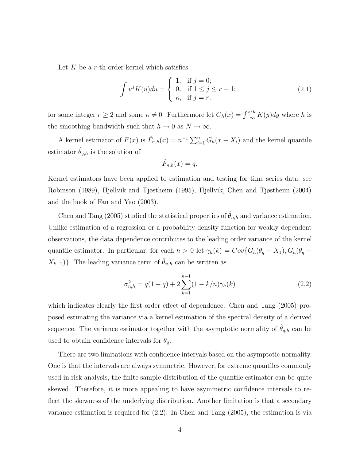Let  $K$  be a r-th order kernel which satisfies

$$
\int u^{j} K(u) du = \begin{cases} 1, & \text{if } j = 0; \\ 0, & \text{if } 1 \leq j \leq r - 1; \\ \kappa, & \text{if } j = r. \end{cases}
$$
 (2.1)

for some integer  $r \ge 2$  and some  $\kappa \ne 0$ . Furthermore let  $G_h(x) = \int_{-\infty}^{x/h} K(y) dy$  where h is the smoothing bandwidth such that  $h \to 0$  as  $N \to \infty$ .

A kernel estimator of  $F(x)$  is  $\hat{F}_{n,h}(x) = n^{-1} \sum_{i=1}^{n} G_h(x - X_i)$  and the kernel quantile estimator  $\hat{\theta}_{q,h}$  is the solution of

$$
\hat{F}_{n,h}(x) = q.
$$

Kernel estimators have been applied to estimation and testing for time series data; see Robinson (1989), Hjellvik and Tjøstheim (1995), Hjellvik, Chen and Tjøstheim (2004) and the book of Fan and Yao (2003).

Chen and Tang (2005) studied the statistical properties of  $\hat{\theta}_{n,h}$  and variance estimation. Unlike estimation of a regression or a probability density function for weakly dependent observations, the data dependence contributes to the leading order variance of the kernel quantile estimator. In particular, for each  $h > 0$  let  $\gamma_h(k) = Cov\{G_h(\theta_q - X_1), G_h(\theta_q - X_2)\}$  $X_{k+1}$ }. The leading variance term of  $\hat{\theta}_{n,h}$  can be written as

$$
\sigma_{n,h}^2 = q(1-q) + 2\sum_{k=1}^{n-1} (1 - k/n)\gamma_h(k)
$$
\n(2.2)

which indicates clearly the first order effect of dependence. Chen and Tang (2005) proposed estimating the variance via a kernel estimation of the spectral density of a derived sequence. The variance estimator together with the asymptotic normality of  $\theta_{q,h}$  can be used to obtain confidence intervals for  $\theta_q$ .

There are two limitations with confidence intervals based on the asymptotic normality. One is that the intervals are always symmetric. However, for extreme quantiles commonly used in risk analysis, the finite sample distribution of the quantile estimator can be quite skewed. Therefore, it is more appealing to have asymmetric confidence intervals to reflect the skewness of the underlying distribution. Another limitation is that a secondary variance estimation is required for (2.2). In Chen and Tang (2005), the estimation is via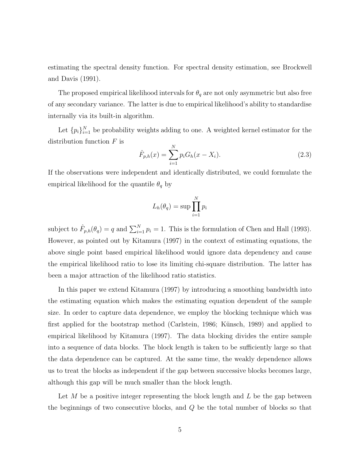estimating the spectral density function. For spectral density estimation, see Brockwell and Davis (1991).

The proposed empirical likelihood intervals for  $\theta_q$  are not only asymmetric but also free of any secondary variance. The latter is due to empirical likelihood's ability to standardise internally via its built-in algorithm.

Let  $\{p_i\}_{i=1}^N$  be probability weights adding to one. A weighted kernel estimator for the distribution function  $F$  is

$$
\hat{F}_{p,h}(x) = \sum_{i=1}^{N} p_i G_h(x - X_i).
$$
\n(2.3)

If the observations were independent and identically distributed, we could formulate the empirical likelihood for the quantile  $\theta_q$  by

$$
L_h(\theta_q) = \sup \prod_{i=1}^N p_i
$$

subject to  $\hat{F}_{p,h}(\theta_q) = q$  and  $\sum_{i=1}^{N} p_i = 1$ . This is the formulation of Chen and Hall (1993). However, as pointed out by Kitamura (1997) in the context of estimating equations, the above single point based empirical likelihood would ignore data dependency and cause the empirical likelihood ratio to lose its limiting chi-square distribution. The latter has been a major attraction of the likelihood ratio statistics.

In this paper we extend Kitamura (1997) by introducing a smoothing bandwidth into the estimating equation which makes the estimating equation dependent of the sample size. In order to capture data dependence, we employ the blocking technique which was first applied for the bootstrap method (Carlstein, 1986; Künsch, 1989) and applied to empirical likelihood by Kitamura (1997). The data blocking divides the entire sample into a sequence of data blocks. The block length is taken to be sufficiently large so that the data dependence can be captured. At the same time, the weakly dependence allows us to treat the blocks as independent if the gap between successive blocks becomes large, although this gap will be much smaller than the block length.

Let  $M$  be a positive integer representing the block length and  $L$  be the gap between the beginnings of two consecutive blocks, and Q be the total number of blocks so that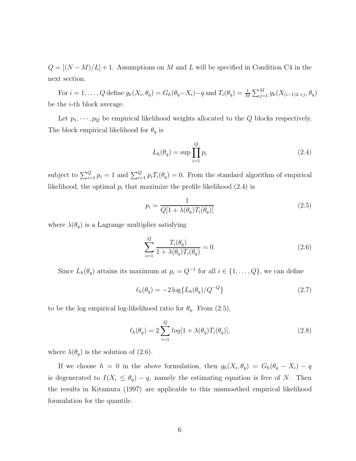$Q = [(N - M)/L] + 1$ . Assumptions on M and L will be specified in Condition C4 in the next section.

For  $i = 1, ..., Q$  define  $g_h(X_i, \theta_q) = G_h(\theta_q - X_i) - q$  and  $T_i(\theta_q) = \frac{1}{M} \sum_{j=1}^M g_h(X_{(i-1)L+j}, \theta_q)$ be the i-th block average.

Let  $p_1, \dots, p_Q$  be empirical likelihood weights allocated to the Q blocks respectively. The block empirical likelihood for  $\theta_q$  is

$$
L_h(\theta_q) = \sup \prod_{i=1}^Q p_i \tag{2.4}
$$

subject to  $\sum_{i=1}^{Q} p_i = 1$  and  $\sum_{i=1}^{Q} p_i T_i(\theta_q) = 0$ . From the standard algorithm of empirical likelihood, the optimal  $p_i$  that maximize the profile likelihood  $(2.4)$  is

$$
p_i = \frac{1}{Q[1 + \lambda(\theta_q)T_i(\theta_q)]}
$$
\n(2.5)

where  $\lambda(\theta_q)$  is a Lagrange multiplier satisfying

$$
\sum_{i=1}^{Q} \frac{T_i(\theta_q)}{1 + \lambda(\theta_q) T_i(\theta_q)} = 0.
$$
\n(2.6)

Since  $L_h(\theta_q)$  attains its maximum at  $p_i = Q^{-1}$  for all  $i \in \{1, ..., Q\}$ , we can define

$$
\ell_h(\theta_q) = -2\log\{L_h(\theta_q)/Q^{-Q}\}\tag{2.7}
$$

to be the log empirical log-likelihood ratio for  $\theta_q$ . From (2.5),

$$
\ell_h(\theta_q) = 2 \sum_{i=1}^Q \log[1 + \lambda(\theta_q) T_i(\theta_q)], \qquad (2.8)
$$

where  $\lambda(\theta_q)$  is the solution of (2.6).

If we choose  $h = 0$  in the above formulation, then  $g_h(X_i, \theta_q) = G_h(\theta_q - X_i) - q$ is degenerated to  $I(X_i \leq \theta_q) - q$ , namely the estimating equation is free of N. Then the results in Kitamura (1997) are applicable to this unsmoothed empirical likelihood formulation for the quantile.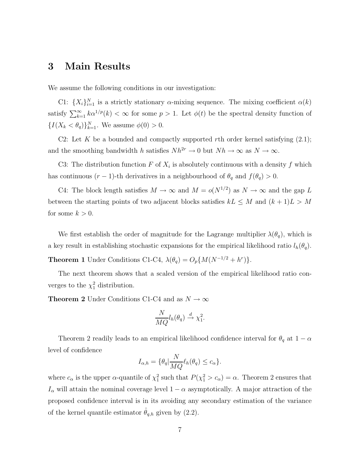# **3 Main Results**

We assume the following conditions in our investigation:

C1:  $\{X_i\}_{i=1}^N$  is a strictly stationary  $\alpha$ -mixing sequence. The mixing coefficient  $\alpha(k)$ satisfy  $\sum_{k=1}^{\infty} k \alpha^{1/p}(k) < \infty$  for some  $p > 1$ . Let  $\phi(t)$  be the spectral density function of  ${I(X_k < \theta_q)}_{k=1}^N$ . We assume  $\phi(0) > 0$ .

C2: Let K be a bounded and compactly supported rth order kernel satisfying  $(2.1)$ ; and the smoothing bandwidth h satisfies  $Nh^{2r} \to 0$  but  $Nh \to \infty$  as  $N \to \infty$ .

C3: The distribution function F of  $X_i$  is absolutely continuous with a density f which has continuous  $(r-1)$ -th derivatives in a neighbourhood of  $\theta_q$  and  $f(\theta_q) > 0$ .

C4: The block length satisfies  $M \to \infty$  and  $M = o(N^{1/2})$  as  $N \to \infty$  and the gap L between the starting points of two adjacent blocks satisfies  $kL \leq M$  and  $(k+1)L > M$ for some  $k > 0$ .

We first establish the order of magnitude for the Lagrange multiplier  $\lambda(\theta_q)$ , which is a key result in establishing stochastic expansions for the empirical likelihood ratio  $l_h(\theta_q)$ .

**Theorem 1** Under Conditions C1-C4,  $\lambda(\theta_q) = O_p\{M(N^{-1/2} + h^r)\}.$ 

The next theorem shows that a scaled version of the empirical likelihood ratio converges to the  $\chi_1^2$  distribution.

**Theorem 2** Under Conditions C1-C4 and as  $N \to \infty$ 

$$
\frac{N}{MQ}l_h(\theta_q) \stackrel{d}{\rightarrow} \chi_1^2.
$$

Theorem 2 readily leads to an empirical likelihood confidence interval for  $\theta_q$  at  $1 - \alpha$ level of confidence

$$
I_{\alpha,h} = \{ \theta_q | \frac{N}{MQ} \ell_h(\theta_q) \le c_\alpha \}.
$$

where  $c_{\alpha}$  is the upper  $\alpha$ -quantile of  $\chi_1^2$  such that  $P(\chi_1^2 > c_{\alpha}) = \alpha$ . Theorem 2 ensures that  $I_{\alpha}$  will attain the nominal coverage level  $1 - \alpha$  asymptotically. A major attraction of the proposed confidence interval is in its avoiding any secondary estimation of the variance of the kernel quantile estimator  $\hat{\theta}_{q,h}$  given by (2.2).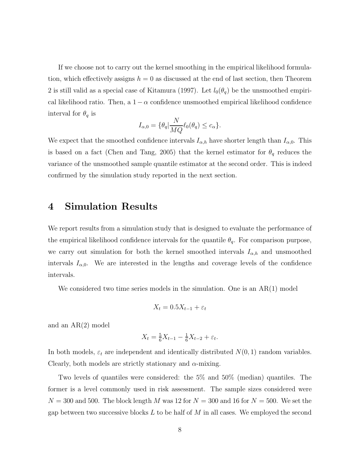If we choose not to carry out the kernel smoothing in the empirical likelihood formulation, which effectively assigns  $h = 0$  as discussed at the end of last section, then Theorem 2 is still valid as a special case of Kitamura (1997). Let  $l_0(\theta_q)$  be the unsmoothed empirical likelihood ratio. Then, a  $1-\alpha$  confidence unsmoothed empirical likelihood confidence interval for  $\theta_q$  is

$$
I_{\alpha,0} = \{\theta_q | \frac{N}{MQ} \ell_0(\theta_q) \le c_\alpha\}.
$$

We expect that the smoothed confidence intervals  $I_{\alpha,h}$  have shorter length than  $I_{\alpha,0}$ . This is based on a fact (Chen and Tang, 2005) that the kernel estimator for  $\theta_q$  reduces the variance of the unsmoothed sample quantile estimator at the second order. This is indeed confirmed by the simulation study reported in the next section.

#### **4 Simulation Results**

We report results from a simulation study that is designed to evaluate the performance of the empirical likelihood confidence intervals for the quantile  $\theta_q$ . For comparison purpose, we carry out simulation for both the kernel smoothed intervals  $I_{\alpha,h}$  and unsmoothed intervals  $I_{\alpha,0}$ . We are interested in the lengths and coverage levels of the confidence intervals.

We considered two time series models in the simulation. One is an  $AR(1)$  model

$$
X_t = 0.5X_{t-1} + \varepsilon_t
$$

and an AR(2) model

$$
X_t = \frac{5}{6}X_{t-1} - \frac{1}{6}X_{t-2} + \varepsilon_t.
$$

In both models,  $\varepsilon_t$  are independent and identically distributed  $N(0, 1)$  random variables. Clearly, both models are strictly stationary and  $\alpha$ -mixing.

Two levels of quantiles were considered: the 5% and 50% (median) quantiles. The former is a level commonly used in risk assessment. The sample sizes considered were  $N = 300$  and 500. The block length M was 12 for  $N = 300$  and 16 for  $N = 500$ . We set the gap between two successive blocks  $L$  to be half of  $M$  in all cases. We employed the second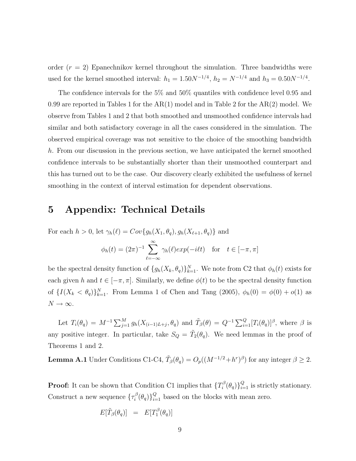order  $(r = 2)$  Epanechnikov kernel throughout the simulation. Three bandwidths were used for the kernel smoothed interval:  $h_1 = 1.50N^{-1/4}$ ,  $h_2 = N^{-1/4}$  and  $h_3 = 0.50N^{-1/4}$ .

The confidence intervals for the 5% and 50% quantiles with confidence level 0.95 and 0.99 are reported in Tables 1 for the  $AR(1)$  model and in Table 2 for the  $AR(2)$  model. We observe from Tables 1 and 2 that both smoothed and unsmoothed confidence intervals had similar and both satisfactory coverage in all the cases considered in the simulation. The observed empirical coverage was not sensitive to the choice of the smoothing bandwidth h. From our discussion in the previous section, we have anticipated the kernel smoothed confidence intervals to be substantially shorter than their unsmoothed counterpart and this has turned out to be the case. Our discovery clearly exhibited the usefulness of kernel smoothing in the context of interval estimation for dependent observations.

### **5 Appendix: Technical Details**

For each  $h > 0$ , let  $\gamma_h(\ell) = Cov\{g_h(X_1, \theta_q), g_h(X_{\ell+1}, \theta_q)\}\)$  and

$$
\phi_h(t) = (2\pi)^{-1} \sum_{\ell=-\infty}^{\infty} \gamma_h(\ell) exp(-i\ell t) \quad \text{for} \quad t \in [-\pi, \pi]
$$

be the spectral density function of  $\{g_h(X_k, \theta_q)\}_{k=1}^N$ . We note from C2 that  $\phi_h(t)$  exists for each given h and  $t \in [-\pi, \pi]$ . Similarly, we define  $\phi(t)$  to be the spectral density function of  $\{I(X_k < \theta_q)\}_{k=1}^N$ . From Lemma 1 of Chen and Tang (2005),  $\phi_h(0) = \phi(0) + o(1)$  as  $N \to \infty$ .

Let  $T_i(\theta_q) = M^{-1} \sum_{j=1}^M g_h(X_{(i-1)L+j}, \theta_q)$  and  $\tilde{T}_{\beta}(\theta) = Q^{-1} \sum_{i=1}^Q [T_i(\theta_q)]^{\beta}$ , where  $\beta$  is any positive integer. In particular, take  $S_Q = \tilde{T}_2(\theta_q)$ . We need lemmas in the proof of Theorems 1 and 2.

**Lemma A.1** Under Conditions C1-C4,  $\tilde{T}_{\beta}(\theta_q) = O_p((M^{-1/2} + h^r)^{\beta})$  for any integer  $\beta \geq 2$ .

**Proof:** It can be shown that Condition C1 implies that  $\{T_i^{\beta}(\theta_q)\}_{i=1}^Q$  is strictly stationary. Construct a new sequence  $\{\tau_i^{\beta}(\theta_q)\}_{i=1}^Q$  based on the blocks with mean zero.

$$
E[\tilde{T}_{\beta}(\theta_q)] = E[T_1^{\beta}(\theta_q)]
$$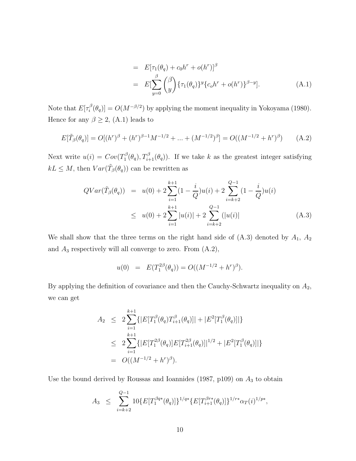$$
= E[\tau_1(\theta_q) + c_0 h^r + o(h^r)]^{\beta}
$$
  
\n
$$
= E[\sum_{y=0}^{\beta} {\beta \choose y} {\{\tau_1(\theta_q)\}^y} {\{\tau_0 h^r + o(h^r)\}^{\beta - y}}].
$$
 (A.1)

Note that  $E[\tau_i^{\beta}(\theta_q)] = O(M^{-\beta/2})$  by applying the moment inequality in Yokoyama (1980). Hence for any  $\beta \geq 2$ , (A.1) leads to

$$
E[\tilde{T}_{\beta}(\theta_q)] = O[(h^r)^{\beta} + (h^r)^{\beta - 1}M^{-1/2} + \dots + (M^{-1/2})^{\beta}] = O((M^{-1/2} + h^r)^{\beta}) \tag{A.2}
$$

Next write  $u(i) = Cov(T_1^{\beta}(\theta_q), T_{i+1}^{\beta}(\theta_q))$ . If we take k as the greatest integer satisfying  $kL \leq M$ , then  $Var(\tilde{T}_{\beta}(\theta_q))$  can be rewritten as

$$
QVar(\tilde{T}_{\beta}(\theta_q)) = u(0) + 2\sum_{i=1}^{k+1} (1 - \frac{i}{Q})u(i) + 2\sum_{i=k+2}^{Q-1} (1 - \frac{i}{Q})u(i)
$$
  

$$
\leq u(0) + 2\sum_{i=1}^{k+1} |u(i)| + 2\sum_{i=k+2}^{Q-1} (|u(i)|)
$$
 (A.3)

We shall show that the three terms on the right hand side of  $(A.3)$  denoted by  $A_1$ ,  $A_2$ and  $A_3$  respectively will all converge to zero. From  $(A.2)$ ,

$$
u(0) = E(T_1^{2\beta}(\theta_q)) = O((M^{-1/2} + h^r)^{\beta}).
$$

By applying the definition of covariance and then the Cauchy-Schwartz inequality on  $A_2$ , we can get

$$
A_2 \le 2 \sum_{i=1}^{k+1} \{ |E[T_1^{\beta}(\theta_q) T_{i+1}^{\beta}(\theta_q)]| + |E^2[T_1^{\beta}(\theta_q)]| \}
$$
  
\n
$$
\le 2 \sum_{i=1}^{k+1} \{ |E[T_1^{2\beta}(\theta_q)]E[T_{i+1}^{2\beta}(\theta_q)]|^{1/2} + |E^2[T_1^{\beta}(\theta_q)]| \}
$$
  
\n
$$
= O((M^{-1/2} + h^r)^{\beta}).
$$

Use the bound derived by Roussas and Ioannides (1987, p109) on  $A_3$  to obtain

$$
A_3 \leq \sum_{i=k+2}^{Q-1} 10\{E[T_1^{\beta q*}(\theta_q)]\}^{1/q*} \{E[T_{i+1}^{\beta r*}(\theta_q)]\}^{1/r*} \alpha_T(i)^{1/p*},
$$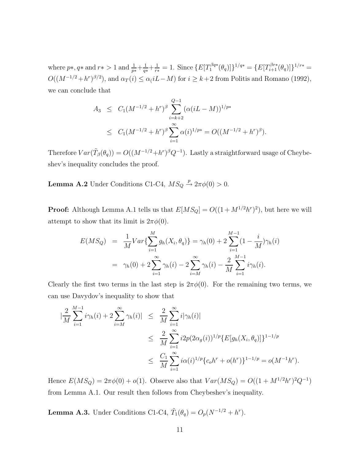where  $p*, q*$  and  $r* > 1$  and  $\frac{1}{p*} + \frac{1}{q*} + \frac{1}{r*} = 1$ . Since  $\{E[T_1^{\beta q*}(\theta_q)]\}^{1/q*} = \{E[T_{i+1}^{\beta r*}(\theta_q)]\}^{1/r*} =$  $O((M^{-1/2}+h^r)^{\beta/2})$ , and  $\alpha_T(i) \leq \alpha_l (L-M)$  for  $i \geq k+2$  from Politis and Romano (1992), we can conclude that

$$
A_3 \leq C_1 (M^{-1/2} + h^r)^{\beta} \sum_{i=k+2}^{Q-1} (\alpha (iL - M))^{1/p*}
$$
  
 
$$
\leq C_1 (M^{-1/2} + h^r)^{\beta} \sum_{i=1}^{\infty} \alpha (i)^{1/p*} = O((M^{-1/2} + h^r)^{\beta}).
$$

Therefore  $Var(\tilde{T}_{\beta}(\theta_q)) = O((M^{-1/2}+h^r)^{\beta}Q^{-1})$ . Lastly a straightforward usage of Cheybeshev's inequality concludes the proof.

**Lemma A.2** Under Conditions C1-C4,  $MS_Q \stackrel{p}{\rightarrow} 2\pi\phi(0) > 0$ .

**Proof:** Although Lemma A.1 tells us that  $E[MS_Q] = O((1 + M^{1/2}h^r)^2)$ , but here we will attempt to show that its limit is  $2\pi\phi(0)$ .

$$
E(MS_Q) = \frac{1}{M}Var\{\sum_{i=1}^{M} g_h(X_i, \theta_q)\} = \gamma_h(0) + 2\sum_{i=1}^{M-1} (1 - \frac{i}{M})\gamma_h(i)
$$
  
=  $\gamma_h(0) + 2\sum_{i=1}^{\infty} \gamma_h(i) - 2\sum_{i=M}^{\infty} \gamma_h(i) - \frac{2}{M}\sum_{i=1}^{M-1} i\gamma_h(i).$ 

Clearly the first two terms in the last step is  $2\pi\phi(0)$ . For the remaining two terms, we can use Davydov's inequality to show that

$$
\begin{split}\n|\frac{2}{M} \sum_{i=1}^{M-1} i\gamma_h(i) + 2 \sum_{i=M}^{\infty} \gamma_h(i)| &\leq \frac{2}{M} \sum_{i=1}^{\infty} i|\gamma_h(i)| \\
&\leq \frac{2}{M} \sum_{i=1}^{\infty} i2p(2\alpha_g(i))^{1/p} \{E[g_h(X_i, \theta_q)]\}^{1-1/p} \\
&\leq \frac{C_1}{M} \sum_{i=1}^{\infty} i\alpha(i)^{1/p} \{c_o h^r + o(h^r)\}^{1-1/p} = o(M^{-1}h^r).\n\end{split}
$$

Hence  $E(MS_Q) = 2\pi\phi(0) + o(1)$ . Observe also that  $Var(MS_Q) = O((1 + M^{1/2}h^r)^2Q^{-1})$ from Lemma A.1. Our result then follows from Cheybeshev's inequality.

**Lemma A.3.** Under Conditions C1-C4,  $\tilde{T}_1(\theta_q) = O_p(N^{-1/2} + h^r)$ .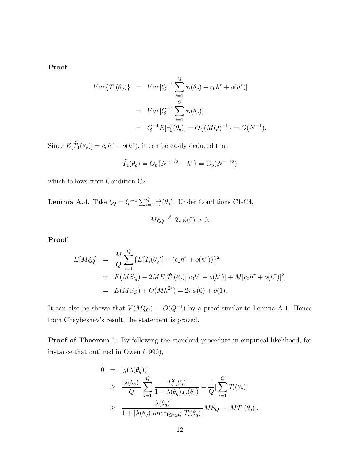**Proof**:

$$
Var\{\tilde{T}_1(\theta_q)\} = Var[Q^{-1} \sum_{i=1}^Q \tau_i(\theta_q) + c_0 h^r + o(h^r)]
$$
  
= 
$$
Var[Q^{-1} \sum_{i=1}^Q \tau_i(\theta_q)]
$$
  
= 
$$
Q^{-1} E[\tau_1^2(\theta_q)] = O\{(MQ)^{-1}\} = O(N^{-1}).
$$

Since  $E[\tilde{T}_1(\theta_q)] = c_0 h^r + o(h^r)$ , it can be easily deduced that

$$
\tilde{T}_1(\theta_q) = O_p\{N^{-1/2} + h^r\} = O_p(N^{-1/2})
$$

which follows from Condition C2.

**Lemma A.4.** Take  $\xi_Q = Q^{-1} \sum_{i=1}^Q \tau_i^2(\theta_q)$ . Under Conditions C1-C4,

$$
M\xi_Q \xrightarrow{p} 2\pi\phi(0) > 0.
$$

**Proof**:

$$
E[M\xi_Q] = \frac{M}{Q} \sum_{i=1}^{Q} \{ E[T_i(\theta_q)] - (c_0h^r + o(h^r)) \}^2
$$
  
= 
$$
E(MS_Q) - 2ME[\tilde{T}_1(\theta_q)][c_0h^r + o(h^r)] + M[c_0h^r + o(h^r)]^2]
$$
  
= 
$$
E(MS_Q) + O(Mh^{2r}) = 2\pi\phi(0) + o(1).
$$

It can also be shown that  $V(M\xi_Q) = O(Q^{-1})$  by a proof similar to Lemma A.1. Hence from Cheybeshev's result, the statement is proved.

**Proof of Theorem 1**: By following the standard procedure in empirical likelihood, for instance that outlined in Owen (1990),

$$
0 = |g(\lambda(\theta_q))|
$$
  
\n
$$
\geq \frac{|\lambda(\theta_q)|}{Q} \sum_{i=1}^Q \frac{T_i^2(\theta_q)}{1 + \lambda(\theta_q)T_i(\theta_q)} - \frac{1}{Q} \sum_{i=1}^Q T_i(\theta_q)|
$$
  
\n
$$
\geq \frac{|\lambda(\theta_q)|}{1 + |\lambda(\theta_q)| max_{1 \leq i \leq Q} |T_i(\theta_q)|} MS_Q - |M\tilde{T}_1(\theta_q)|.
$$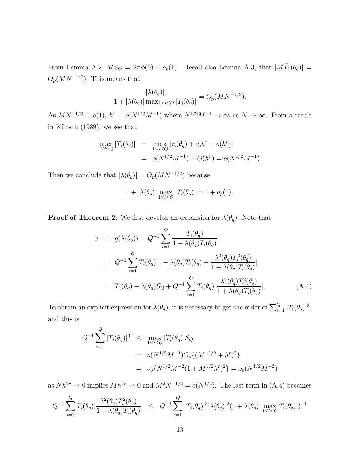From Lemma A.2,  $MS_Q = 2\pi\phi(0) + o_p(1)$ . Recall also Lemma A.3, that  $|M\tilde{T}_1(\theta_q)| =$  $O_p(MN^{-1/2})$ . This means that

$$
\frac{|\lambda(\theta_q)|}{1 + |\lambda(\theta_q)| \max_{1 \le i \le Q} |T_i(\theta_q)|} = O_p(MN^{-1/2}).
$$

As  $MN^{-1/2} = o(1)$ ,  $h^r = o(N^{1/2}M^{-1})$  where  $N^{1/2}M^{-1} \to \infty$  as  $N \to \infty$ . From a result in Künsch (1989), we see that

$$
\max_{1 \le i \le Q} |T_i(\theta_q)| = \max_{1 \le i \le Q} |\tau_i(\theta_q) + c_0 h^r + o(h^r)|
$$
  
=  $o(N^{1/2} M^{-1}) + O(h^r) = o(N^{1/2} M^{-1}).$ 

Then we conclude that  $|\lambda(\theta_q)| = O_p(MN^{-1/2})$  because

$$
1+|\lambda(\theta_q)|\max_{1\leq i\leq Q}|T_i(\theta_q)|=1+o_p(1).
$$

**Proof of Theorem 2**: We first develop an expansion for  $\lambda(\theta_q)$ . Note that

$$
0 = g(\lambda(\theta_q)) = Q^{-1} \sum_{i=1}^{Q} \frac{T_i(\theta_q)}{1 + \lambda(\theta_q) T_i(\theta_q)}
$$
  
\n
$$
= Q^{-1} \sum_{i=1}^{Q} T_i(\theta_q) [1 - \lambda(\theta_q) T_i(\theta_q) + \frac{\lambda^2(\theta_q) T_i^2(\theta_q)}{1 + \lambda(\theta_q) T_i(\theta_q)}]
$$
  
\n
$$
= \tilde{T}_1(\theta_q) - \lambda(\theta_q) S_Q + Q^{-1} \sum_{i=1}^{Q} T_i(\theta_q) [\frac{\lambda^2(\theta_q) T_i^2(\theta_q)}{1 + \lambda(\theta_q) T_i(\theta_q)}].
$$
 (A.4)

To obtain an explicit expression for  $\lambda(\theta_q)$ , it is necessary to get the order of  $\sum_{i=1}^Q |T_i(\theta_q)|^3$ , and this is

$$
Q^{-1} \sum_{i=1}^{Q} |T_i(\theta_q)|^3 \le \max_{1 \le i \le Q} |T_i(\theta_q)| S_Q
$$
  
=  $o(N^{1/2}M^{-1})O_p\{(M^{-1/2} + h^r)^2\}$   
=  $o_p\{N^{1/2}M^{-2}(1 + M^{1/2}h^r)^2\} = o_p(N^{1/2}M^{-2})$ 

as  $Nh^{2r} \to 0$  implies  $Mh^{2r} \to 0$  and  $M^2N^{-1/2} = o(N^{1/2})$ . The last term in (A.4) becomes

$$
Q^{-1} \sum_{i=1}^{Q} T_i(\theta_q) [\frac{\lambda^2(\theta_q) T_i^2(\theta_q)}{1 + \lambda(\theta_q) T_i(\theta_q)}] \leq Q^{-1} \sum_{i=1}^{Q} |T_i(\theta_q)|^3 |\lambda(\theta_q)|^2 (1 + \lambda(\theta_q) |\max_{1 \leq i \leq Q} T_i(\theta_q)|)^{-1}
$$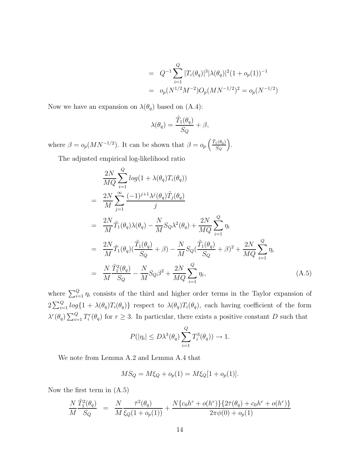$$
= Q^{-1} \sum_{i=1}^{Q} |T_i(\theta_q)|^3 |\lambda(\theta_q)|^2 (1 + o_p(1))^{-1}
$$
  
=  $o_p(N^{1/2}M^{-2})O_p(MN^{-1/2})^2 = o_p(N^{-1/2})$ 

Now we have an expansion on  $\lambda(\theta_q)$  based on  $(A.4)$ :

$$
\lambda(\theta_q) = \frac{\tilde{T}_1(\theta_q)}{S_Q} + \beta,
$$

where  $\beta = o_p(MN^{-1/2})$ . It can be shown that  $\beta = o_p \left( \frac{\tilde{T}_1(\theta_q)}{S_Q} \right)$ S*<sup>Q</sup>* .

The adjusted empirical log-likelihood ratio

$$
\frac{2N}{MQ} \sum_{i=1}^{Q} log(1 + \lambda(\theta_q) T_i(\theta_q))
$$
\n
$$
= \frac{2N}{M} \sum_{j=1}^{\infty} \frac{(-1)^{j+1} \lambda^j(\theta_q) \tilde{T}_j(\theta_q)}{j}
$$
\n
$$
= \frac{2N}{M} \tilde{T}_1(\theta_q) \lambda(\theta_q) - \frac{N}{M} S_Q \lambda^2(\theta_q) + \frac{2N}{MQ} \sum_{i=1}^{Q} \eta_i
$$
\n
$$
= \frac{2N}{M} \tilde{T}_1(\theta_q) (\frac{\tilde{T}_1(\theta_q)}{S_Q} + \beta) - \frac{N}{M} S_Q (\frac{\tilde{T}_1(\theta_q)}{S_Q} + \beta)^2 + \frac{2N}{MQ} \sum_{i=1}^{Q} \eta_i
$$
\n
$$
= \frac{N}{M} \frac{\tilde{T}_1^2(\theta_q)}{S_Q} - \frac{N}{M} S_Q \beta^2 + \frac{2N}{MQ} \sum_{i=1}^{Q} \eta_i,
$$
\n(A.5)

where  $\sum_{i=1}^{Q} \eta_i$  consists of the third and higher order terms in the Taylor expansion of  $2\sum_{i=1}^{Q}log\{1+\lambda(\theta_q)T_i(\theta_q)\}\)$  respect to  $\lambda(\theta_q)T_i(\theta_q)$ , each having coefficient of the form  $\lambda^r(\theta_q) \sum_{i=1}^Q T_i^r(\theta_q)$  for  $r \geq 3$ . In particular, there exists a positive constant D such that

$$
P(|\eta_i| \le D\lambda^3(\theta_q) \sum_{i=1}^Q T_i^3(\theta_q)) \to 1.
$$

We note from Lemma A.2 and Lemma A.4 that

$$
MS_Q = M\xi_Q + o_p(1) = M\xi_Q[1 + o_p(1)].
$$

Now the first term in (A.5)

$$
\frac{N}{M} \frac{\tilde{T}_1^2(\theta_q)}{S_Q} = \frac{N}{M} \frac{\bar{\tau}^2(\theta_q)}{\xi_Q(1 + o_p(1))} + \frac{N\{c_0h^r + o(h^r)\}\{2\bar{\tau}(\theta_q) + c_0h^r + o(h^r)\}}{2\pi\phi(0) + o_p(1)}
$$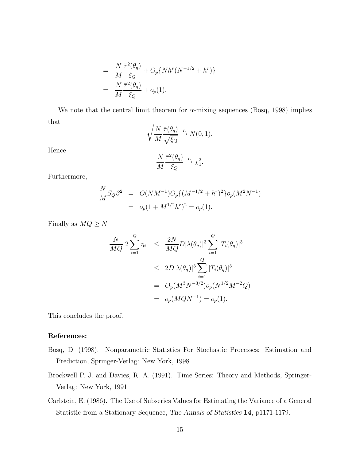$$
= \frac{N}{M} \frac{\bar{\tau}^2(\theta_q)}{\xi_Q} + O_p\{Nh^r(N^{-1/2} + h^r)\}
$$
  
= 
$$
\frac{N}{M} \frac{\bar{\tau}^2(\theta_q)}{\xi_Q} + o_p(1).
$$

We note that the central limit theorem for  $\alpha$ -mixing sequences (Bosq, 1998) implies that

$$
\sqrt{\frac{N}{M}} \frac{\bar{\tau}(\theta_q)}{\sqrt{\xi_Q}} \xrightarrow{L} N(0, 1).
$$

Hence

$$
\frac{N}{M} \frac{\bar{\tau}^2(\theta_q)}{\xi_Q} \xrightarrow{L} \chi_1^2.
$$

Furthermore,

$$
\frac{N}{M} S_Q \beta^2 = O(NM^{-1}) O_p \{ (M^{-1/2} + h^r)^2 \} o_p(M^2 N^{-1})
$$
  
=  $o_p (1 + M^{1/2} h^r)^2 = o_p(1).$ 

Finally as  $MQ \geq N$ 

$$
\frac{N}{MQ}|2\sum_{i=1}^{Q}\eta_i| \leq \frac{2N}{MQ}D|\lambda(\theta_q)|^3\sum_{i=1}^{Q}|T_i(\theta_q)|^3
$$
  
\n
$$
\leq 2D|\lambda(\theta_q)|^3\sum_{i=1}^{Q}|T_i(\theta_q)|^3
$$
  
\n
$$
= O_p(M^3N^{-3/2})o_p(N^{1/2}M^{-2}Q)
$$
  
\n
$$
= o_p(MQN^{-1}) = o_p(1).
$$

This concludes the proof.

#### **References:**

- Bosq, D. (1998). Nonparametric Statistics For Stochastic Processes: Estimation and Prediction, Springer-Verlag: New York, 1998.
- Brockwell P. J. and Davies, R. A. (1991). Time Series: Theory and Methods, Springer-Verlag: New York, 1991.
- Carlstein, E. (1986). The Use of Subseries Values for Estimating the Variance of a General Statistic from a Stationary Sequence, *The Annals of Statistics* **14**, p1171-1179.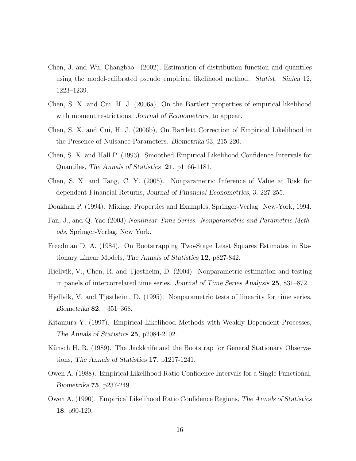- Chen, J. and Wu, Changbao. (2002), Estimation of distribution function and quantiles using the model-calibrated pseudo empirical likelihood method. *Statist. Sinica* 12, 1223–1239.
- Chen, S. X. and Cui, H. J. (2006a), On the Bartlett properties of empirical likelihood with moment restrictions. *Journal of Econometrics*, to appear.
- Chen, S. X. and Cui, H. J. (2006b), On Bartlett Correction of Empirical Likelihood in the Presence of Nuisance Parameters. *Biometrika* 93, 215-220.
- Chen, S. X. and Hall P. (1993). Smoothed Empirical Likelihood Confidence Intervals for Quantiles, *The Annals of Statistics* **21**, p1166-1181.
- Chen, S. X. and Tang, C. Y. (2005). Nonparametric Inference of Value at Risk for dependent Financial Returns, *Journal of Financial Econometrics*, 3, 227-255.
- Doukhan P. (1994). Mixing: Properties and Examples, Springer-Verlag: New-York, 1994.
- Fan, J., and Q. Yao (2003) *Nonlinear Time Series. Nonparametric and Parametric Methods*, Springer-Verlag, New York.
- Freedman D. A. (1984). On Bootstrapping Two-Stage Least Squares Estimates in Stationary Linear Models, *The Annals of Statistics* **12**, p827-842.
- Hjellvik, V., Chen, R. and Tjøstheim, D. (2004). Nonparametric estimation and testing in panels of intercorrelated time series. *Journal of Time Series Analysis* **25**, 831–872.
- Hjellvik, V. and Tjøstheim, D. (1995). Nonparametric tests of linearity for time series. *Biometrika* **82**, , 351–368.
- Kitamura Y. (1997). Empirical Likelihood Methods with Weakly Dependent Processes, *The Annals of Statistics* **25**, p2084-2102.
- Künsch H. R. (1989). The Jackknife and the Bootstrap for General Stationary Observations, *The Annals of Statistics* **17**, p1217-1241.
- Owen A. (1988). Empirical Likelihood Ratio Confidence Intervals for a Single Functional, *Biometrika* **75**, p237-249.
- Owen A. (1990). Empirical Likelihood Ratio Confidence Regions, *The Annals of Statistics* **18**, p90-120.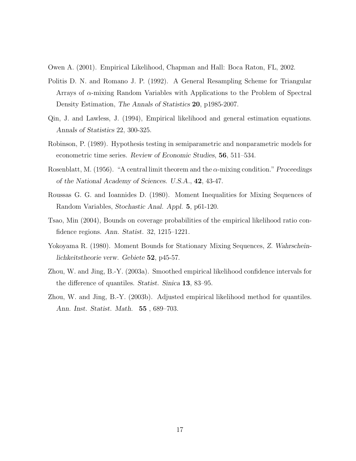Owen A. (2001). Empirical Likelihood, Chapman and Hall: Boca Raton, FL, 2002.

- Politis D. N. and Romano J. P. (1992). A General Resampling Scheme for Triangular Arrays of  $\alpha$ -mixing Random Variables with Applications to the Problem of Spectral Density Estimation, *The Annals of Statistics* **20**, p1985-2007.
- Qin, J. and Lawless, J. (1994), Empirical likelihood and general estimation equations. *Annals of Statistics* 22, 300-325.
- Robinson, P. (1989). Hypothesis testing in semiparametric and nonparametric models for econometric time series. *Review of Economic Studies*, **56**, 511–534.
- Rosenblatt, M. (1956). "A central limit theorem and the α-mixing condition." *Proceedings of the National Academy of Sciences. U.S.A.*, **42**, 43-47.
- Roussas G. G. and Ioannides D. (1980). Moment Inequalities for Mixing Sequences of Random Variables, *Stochastic Anal. Appl.* **5**, p61-120.
- Tsao, Min (2004), Bounds on coverage probabilities of the empirical likelihood ratio confidence regions. *Ann. Statist.* 32, 1215–1221.
- Yokoyama R. (1980). Moment Bounds for Stationary Mixing Sequences, *Z. Wahrscheinlichkeitstheorie verw. Gebiete* **52**, p45-57.
- Zhou, W. and Jing, B.-Y. (2003a). Smoothed empirical likelihood confidence intervals for the difference of quantiles. *Statist. Sinica* **13**, 83–95.
- Zhou, W. and Jing, B.-Y. (2003b). Adjusted empirical likelihood method for quantiles. *Ann. Inst. Statist. Math.* **55** , 689–703.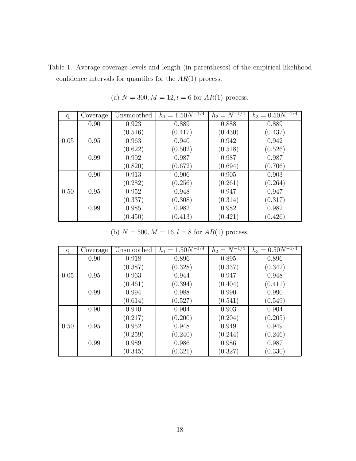Table 1. Average coverage levels and length (in parentheses) of the empirical likelihood confidence intervals for quantiles for the  $AR(1)$  process.

| q    | Coverage | Unsmoothed | $h_1 = 1.50N^{-1/4}$ | $h_2 = N^{-1/4}$ | $h_3 = 0.50\overline{N^{-1/4}}$ |
|------|----------|------------|----------------------|------------------|---------------------------------|
|      | 0.90     | 0.923      | 0.889                | 0.888            | 0.889                           |
|      |          | (0.516)    | (0.417)              | (0.430)          | (0.437)                         |
| 0.05 | 0.95     | 0.963      | 0.940                | 0.942            | 0.942                           |
|      |          | (0.622)    | (0.502)              | (0.518)          | (0.526)                         |
|      | 0.99     | 0.992      | 0.987                | 0.987            | 0.987                           |
|      |          | (0.820)    | (0.672)              | (0.694)          | (0.706)                         |
|      | 0.90     | 0.913      | 0.906                | 0.905            | 0.903                           |
|      |          | (0.282)    | (0.256)              | (0.261)          | (0.264)                         |
| 0.50 | 0.95     | 0.952      | 0.948                | 0.947            | 0.947                           |
|      |          | (0.337)    | (0.308)              | (0.314)          | (0.317)                         |
|      | 0.99     | 0.985      | 0.982                | 0.982            | 0.982                           |
|      |          | (0.450)    | (0.413)              | (0.421)          | (0.426)                         |

(a)  $N = 300, M = 12, l = 6$  for  $AR(1)$  process.

(b)  $N = 500, M = 16, l = 8$  for  $AR(1)$  process.

| q    | Coverage | Unsmoothed | $h_1 = 1.50\overline{N^{-1/4}}$ | $h_2 = N^{-1/4}$ | $h_3 = 0.50 N^{-1/4}$ |
|------|----------|------------|---------------------------------|------------------|-----------------------|
|      | 0.90     | 0.918      | 0.896                           | 0.895            | 0.896                 |
|      |          | (0.387)    | (0.328)                         | (0.337)          | (0.342)               |
| 0.05 | 0.95     | 0.963      | 0.944                           | 0.947            | 0.948                 |
|      |          | (0.461)    | (0.394)                         | (0.404)          | (0.411)               |
|      | 0.99     | 0.994      | 0.988                           | 0.990            | 0.990                 |
|      |          | (0.614)    | (0.527)                         | (0.541)          | (0.549)               |
|      | 0.90     | 0.910      | 0.904                           | 0.903            | 0.904                 |
|      |          | (0.217)    | (0.200)                         | (0.204)          | (0.205)               |
| 0.50 | 0.95     | 0.952      | 0.948                           | 0.949            | 0.949                 |
|      |          | (0.259)    | (0.240)                         | (0.244)          | (0.246)               |
|      | 0.99     | 0.989      | 0.986                           | 0.986            | 0.987                 |
|      |          | (0.345)    | (0.321)                         | (0.327)          | (0.330)               |